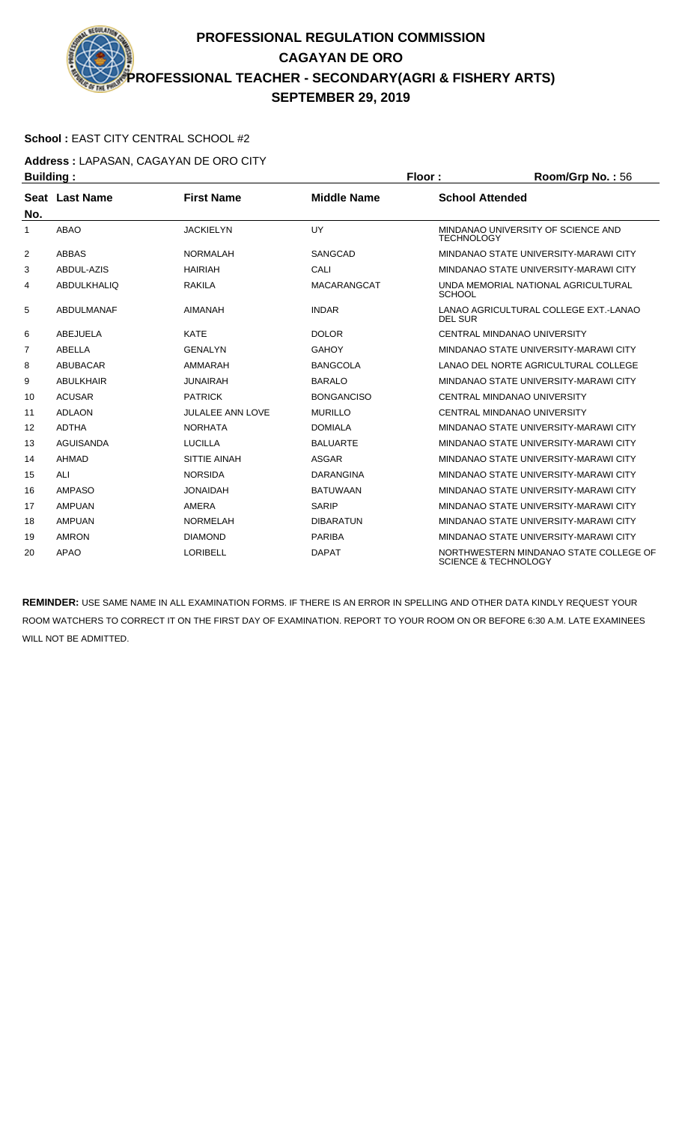#### **School :** EAST CITY CENTRAL SCHOOL #2

**Address :** LAPASAN, CAGAYAN DE ORO CITY **Building : Floor : Room/Grp No. :** 56

| Dununiy .      |                    |                         |                    | . וטטו<br>$\sim$                                                          |
|----------------|--------------------|-------------------------|--------------------|---------------------------------------------------------------------------|
| No.            | Seat Last Name     | <b>First Name</b>       | <b>Middle Name</b> | <b>School Attended</b>                                                    |
| 1              | <b>ABAO</b>        | <b>JACKIELYN</b>        | UY                 | MINDANAO UNIVERSITY OF SCIENCE AND<br><b>TECHNOLOGY</b>                   |
| $\overline{2}$ | <b>ABBAS</b>       | <b>NORMALAH</b>         | <b>SANGCAD</b>     | MINDANAO STATE UNIVERSITY-MARAWI CITY                                     |
| 3              | ABDUL-AZIS         | <b>HAIRIAH</b>          | CALI               | MINDANAO STATE UNIVERSITY-MARAWI CITY                                     |
| 4              | <b>ABDULKHALIQ</b> | <b>RAKILA</b>           | <b>MACARANGCAT</b> | UNDA MEMORIAL NATIONAL AGRICULTURAL<br><b>SCHOOL</b>                      |
| 5              | <b>ABDULMANAF</b>  | <b>AIMANAH</b>          | <b>INDAR</b>       | LANAO AGRICULTURAL COLLEGE EXT. LANAO<br><b>DEL SUR</b>                   |
| 6              | ABEJUELA           | <b>KATE</b>             | <b>DOLOR</b>       | CENTRAL MINDANAO UNIVERSITY                                               |
| $\overline{7}$ | <b>ABELLA</b>      | <b>GENALYN</b>          | <b>GAHOY</b>       | MINDANAO STATE UNIVERSITY-MARAWI CITY                                     |
| 8              | <b>ABUBACAR</b>    | AMMARAH                 | <b>BANGCOLA</b>    | LANAO DEL NORTE AGRICULTURAL COLLEGE                                      |
| 9              | <b>ABULKHAIR</b>   | <b>JUNAIRAH</b>         | <b>BARALO</b>      | MINDANAO STATE UNIVERSITY-MARAWI CITY                                     |
| 10             | <b>ACUSAR</b>      | <b>PATRICK</b>          | <b>BONGANCISO</b>  | CENTRAL MINDANAO UNIVERSITY                                               |
| 11             | <b>ADLAON</b>      | <b>JULALEE ANN LOVE</b> | <b>MURILLO</b>     | <b>CENTRAL MINDANAO UNIVERSITY</b>                                        |
| 12             | <b>ADTHA</b>       | <b>NORHATA</b>          | <b>DOMIALA</b>     | MINDANAO STATE UNIVERSITY-MARAWI CITY                                     |
| 13             | <b>AGUISANDA</b>   | <b>LUCILLA</b>          | <b>BALUARTE</b>    | MINDANAO STATE UNIVERSITY-MARAWI CITY                                     |
| 14             | <b>AHMAD</b>       | <b>SITTIE AINAH</b>     | <b>ASGAR</b>       | MINDANAO STATE UNIVERSITY-MARAWI CITY                                     |
| 15             | ALI                | <b>NORSIDA</b>          | <b>DARANGINA</b>   | MINDANAO STATE UNIVERSITY-MARAWI CITY                                     |
| 16             | <b>AMPASO</b>      | <b>JONAIDAH</b>         | <b>BATUWAAN</b>    | MINDANAO STATE UNIVERSITY-MARAWI CITY                                     |
| 17             | <b>AMPUAN</b>      | AMERA                   | <b>SARIP</b>       | MINDANAO STATE UNIVERSITY-MARAWI CITY                                     |
| 18             | <b>AMPUAN</b>      | <b>NORMELAH</b>         | <b>DIBARATUN</b>   | MINDANAO STATE UNIVERSITY-MARAWI CITY                                     |
| 19             | <b>AMRON</b>       | <b>DIAMOND</b>          | <b>PARIBA</b>      | MINDANAO STATE UNIVERSITY-MARAWI CITY                                     |
| 20             | <b>APAO</b>        | LORIBELL                | <b>DAPAT</b>       | NORTHWESTERN MINDANAO STATE COLLEGE OF<br><b>SCIENCE &amp; TECHNOLOGY</b> |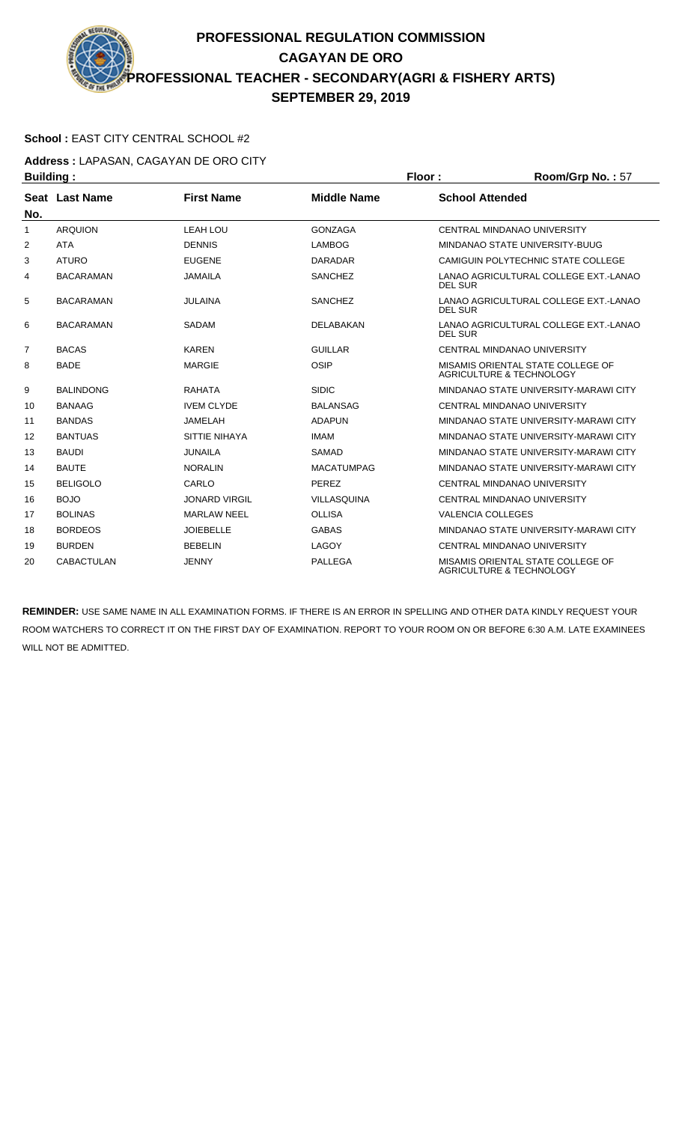#### **School :** EAST CITY CENTRAL SCHOOL #2

**Address :** LAPASAN, CAGAYAN DE ORO CITY

| <b>Building:</b> |                   |                      |                    | Floor:                   | Room/Grp No.: 57                                              |
|------------------|-------------------|----------------------|--------------------|--------------------------|---------------------------------------------------------------|
|                  | Seat Last Name    | <b>First Name</b>    | <b>Middle Name</b> | <b>School Attended</b>   |                                                               |
| No.              |                   |                      |                    |                          |                                                               |
| $\mathbf{1}$     | <b>ARQUION</b>    | <b>LEAH LOU</b>      | <b>GONZAGA</b>     |                          | CENTRAL MINDANAO UNIVERSITY                                   |
| 2                | <b>ATA</b>        | <b>DENNIS</b>        | <b>LAMBOG</b>      |                          | MINDANAO STATE UNIVERSITY-BUUG                                |
| 3                | <b>ATURO</b>      | <b>EUGENE</b>        | <b>DARADAR</b>     |                          | CAMIGUIN POLYTECHNIC STATE COLLEGE                            |
| 4                | <b>BACARAMAN</b>  | <b>JAMAILA</b>       | <b>SANCHEZ</b>     | <b>DEL SUR</b>           | LANAO AGRICULTURAL COLLEGE EXT. LANAO                         |
| 5                | <b>BACARAMAN</b>  | <b>JULAINA</b>       | <b>SANCHEZ</b>     | DEL SUR                  | LANAO AGRICULTURAL COLLEGE EXT.-LANAO                         |
| 6                | <b>BACARAMAN</b>  | <b>SADAM</b>         | <b>DELABAKAN</b>   | <b>DEL SUR</b>           | LANAO AGRICULTURAL COLLEGE EXT. LANAO                         |
| $\overline{7}$   | <b>BACAS</b>      | <b>KAREN</b>         | <b>GUILLAR</b>     |                          | CENTRAL MINDANAO UNIVERSITY                                   |
| 8                | <b>BADE</b>       | <b>MARGIE</b>        | OSIP               |                          | MISAMIS ORIENTAL STATE COLLEGE OF<br>AGRICULTURE & TECHNOLOGY |
| 9                | <b>BALINDONG</b>  | <b>RAHATA</b>        | <b>SIDIC</b>       |                          | MINDANAO STATE UNIVERSITY-MARAWI CITY                         |
| 10               | <b>BANAAG</b>     | <b>IVEM CLYDE</b>    | <b>BALANSAG</b>    |                          | <b>CENTRAL MINDANAO UNIVERSITY</b>                            |
| 11               | <b>BANDAS</b>     | <b>JAMELAH</b>       | <b>ADAPUN</b>      |                          | MINDANAO STATE UNIVERSITY-MARAWI CITY                         |
| 12               | <b>BANTUAS</b>    | SITTIE NIHAYA        | <b>IMAM</b>        |                          | MINDANAO STATE UNIVERSITY-MARAWI CITY                         |
| 13               | <b>BAUDI</b>      | <b>JUNAILA</b>       | <b>SAMAD</b>       |                          | MINDANAO STATE UNIVERSITY-MARAWI CITY                         |
| 14               | <b>BAUTE</b>      | <b>NORALIN</b>       | <b>MACATUMPAG</b>  |                          | MINDANAO STATE UNIVERSITY-MARAWI CITY                         |
| 15               | <b>BELIGOLO</b>   | CARLO                | <b>PEREZ</b>       |                          | CENTRAL MINDANAO UNIVERSITY                                   |
| 16               | <b>BOJO</b>       | <b>JONARD VIRGIL</b> | <b>VILLASQUINA</b> |                          | CENTRAL MINDANAO UNIVERSITY                                   |
| 17               | <b>BOLINAS</b>    | <b>MARLAW NEEL</b>   | <b>OLLISA</b>      | <b>VALENCIA COLLEGES</b> |                                                               |
| 18               | <b>BORDEOS</b>    | <b>JOIEBELLE</b>     | <b>GABAS</b>       |                          | MINDANAO STATE UNIVERSITY-MARAWI CITY                         |
| 19               | <b>BURDEN</b>     | <b>BEBELIN</b>       | LAGOY              |                          | CENTRAL MINDANAO UNIVERSITY                                   |
| 20               | <b>CABACTULAN</b> | <b>JENNY</b>         | <b>PALLEGA</b>     |                          | MISAMIS ORIENTAL STATE COLLEGE OF<br>AGRICULTURE & TECHNOLOGY |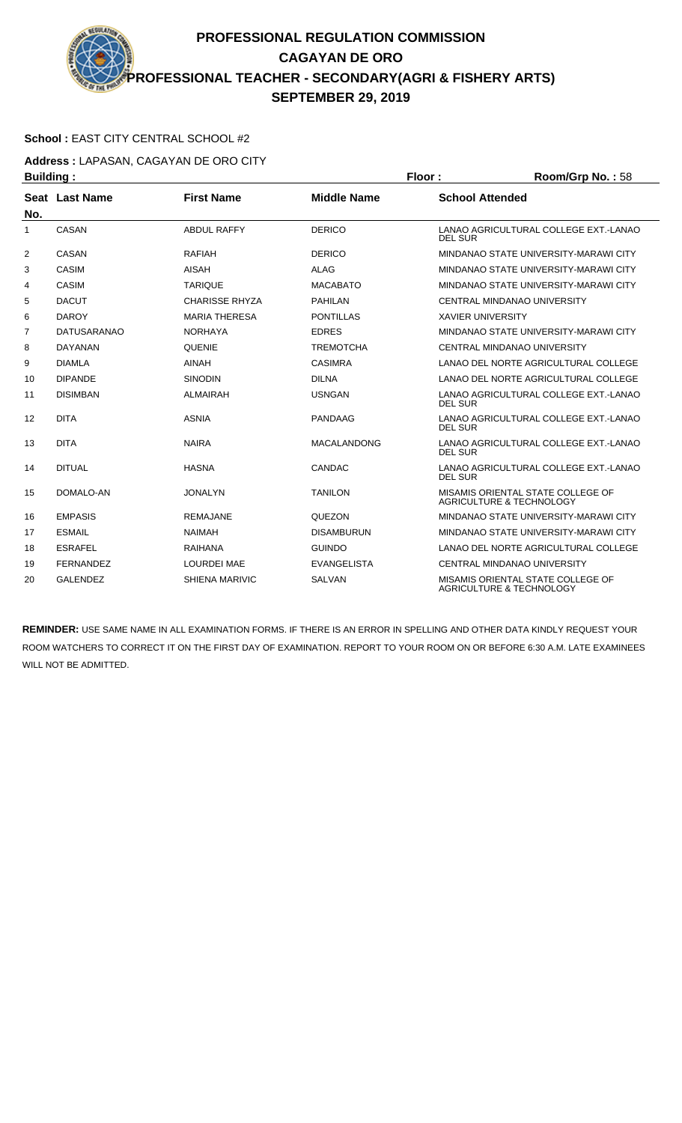#### **School :** EAST CITY CENTRAL SCHOOL #2

**Address :** LAPASAN, CAGAYAN DE ORO CITY

| <b>Building:</b> |                    |                       |                    | Floor:                   | Room/Grp No.: 58                                              |
|------------------|--------------------|-----------------------|--------------------|--------------------------|---------------------------------------------------------------|
|                  | Seat Last Name     | <b>First Name</b>     | <b>Middle Name</b> | <b>School Attended</b>   |                                                               |
| No.              |                    |                       |                    |                          |                                                               |
| $\mathbf{1}$     | CASAN              | <b>ABDUL RAFFY</b>    | <b>DERICO</b>      | <b>DEL SUR</b>           | LANAO AGRICULTURAL COLLEGE EXT.-LANAO                         |
| $\overline{2}$   | CASAN              | <b>RAFIAH</b>         | <b>DERICO</b>      |                          | MINDANAO STATE UNIVERSITY-MARAWI CITY                         |
| 3                | <b>CASIM</b>       | AISAH                 | <b>ALAG</b>        |                          | MINDANAO STATE UNIVERSITY-MARAWI CITY                         |
| 4                | <b>CASIM</b>       | <b>TARIQUE</b>        | <b>MACABATO</b>    |                          | MINDANAO STATE UNIVERSITY-MARAWI CITY                         |
| 5                | <b>DACUT</b>       | <b>CHARISSE RHYZA</b> | <b>PAHILAN</b>     |                          | CENTRAL MINDANAO UNIVERSITY                                   |
| 6                | <b>DAROY</b>       | <b>MARIA THERESA</b>  | <b>PONTILLAS</b>   | <b>XAVIER UNIVERSITY</b> |                                                               |
| $\overline{7}$   | <b>DATUSARANAO</b> | <b>NORHAYA</b>        | <b>EDRES</b>       |                          | MINDANAO STATE UNIVERSITY-MARAWI CITY                         |
| 8                | <b>DAYANAN</b>     | <b>QUENIE</b>         | <b>TREMOTCHA</b>   |                          | CENTRAL MINDANAO UNIVERSITY                                   |
| 9                | <b>DIAMLA</b>      | <b>AINAH</b>          | <b>CASIMRA</b>     |                          | LANAO DEL NORTE AGRICULTURAL COLLEGE                          |
| 10               | <b>DIPANDE</b>     | <b>SINODIN</b>        | <b>DILNA</b>       |                          | LANAO DEL NORTE AGRICULTURAL COLLEGE                          |
| 11               | <b>DISIMBAN</b>    | <b>ALMAIRAH</b>       | <b>USNGAN</b>      | <b>DEL SUR</b>           | LANAO AGRICULTURAL COLLEGE EXT. LANAO                         |
| 12               | <b>DITA</b>        | <b>ASNIA</b>          | <b>PANDAAG</b>     | <b>DEL SUR</b>           | LANAO AGRICULTURAL COLLEGE EXT.-LANAO                         |
| 13               | <b>DITA</b>        | <b>NAIRA</b>          | <b>MACALANDONG</b> | <b>DEL SUR</b>           | LANAO AGRICULTURAL COLLEGE EXT.-LANAO                         |
| 14               | <b>DITUAL</b>      | <b>HASNA</b>          | CANDAC             | <b>DEL SUR</b>           | LANAO AGRICULTURAL COLLEGE EXT. LANAO                         |
| 15               | DOMALO-AN          | <b>JONALYN</b>        | <b>TANILON</b>     |                          | MISAMIS ORIENTAL STATE COLLEGE OF<br>AGRICULTURE & TECHNOLOGY |
| 16               | <b>EMPASIS</b>     | <b>REMAJANE</b>       | <b>QUEZON</b>      |                          | MINDANAO STATE UNIVERSITY-MARAWI CITY                         |
| 17               | <b>ESMAIL</b>      | <b>NAIMAH</b>         | <b>DISAMBURUN</b>  |                          | MINDANAO STATE UNIVERSITY-MARAWI CITY                         |
| 18               | <b>ESRAFEL</b>     | <b>RAIHANA</b>        | <b>GUINDO</b>      |                          | LANAO DEL NORTE AGRICULTURAL COLLEGE                          |
| 19               | <b>FERNANDEZ</b>   | <b>LOURDEI MAE</b>    | <b>EVANGELISTA</b> |                          | CENTRAL MINDANAO UNIVERSITY                                   |
| 20               | <b>GALENDEZ</b>    | <b>SHIENA MARIVIC</b> | <b>SALVAN</b>      |                          | MISAMIS ORIENTAL STATE COLLEGE OF<br>AGRICULTURE & TECHNOLOGY |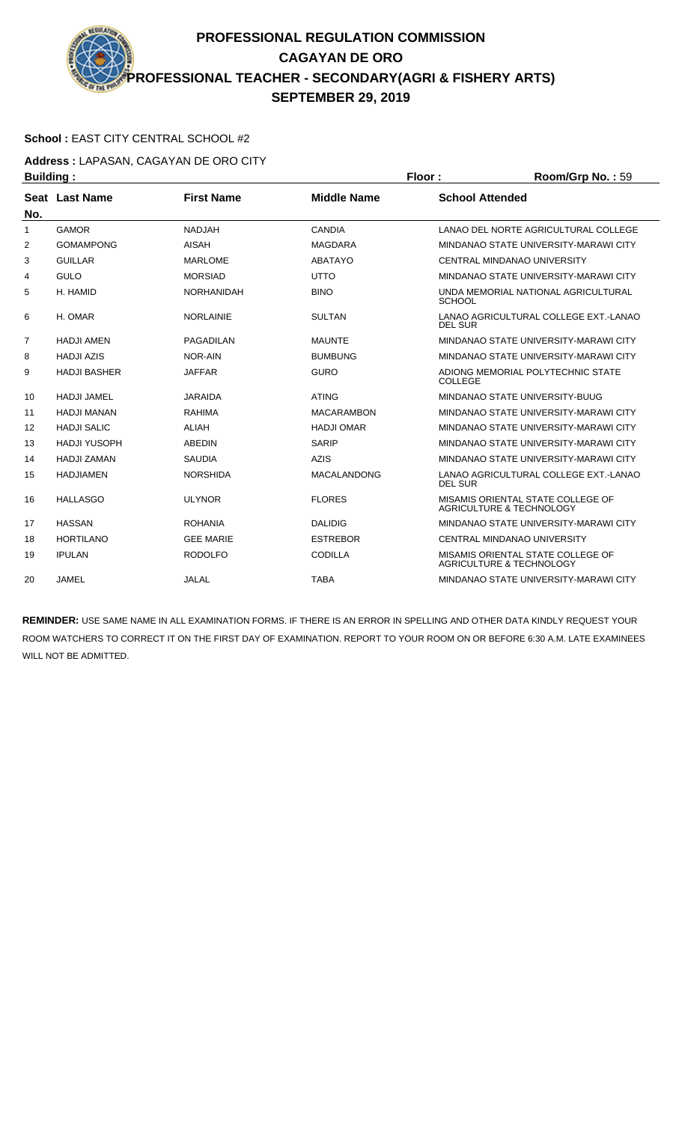#### **School :** EAST CITY CENTRAL SCHOOL #2

**Address :** LAPASAN, CAGAYAN DE ORO CITY

| <b>Building:</b> |                     |                   |                    | Floor:                 | Room/Grp No.: 59                                                         |
|------------------|---------------------|-------------------|--------------------|------------------------|--------------------------------------------------------------------------|
|                  | Seat Last Name      | <b>First Name</b> | <b>Middle Name</b> | <b>School Attended</b> |                                                                          |
| No.              |                     |                   |                    |                        |                                                                          |
| 1                | <b>GAMOR</b>        | <b>NADJAH</b>     | <b>CANDIA</b>      |                        | LANAO DEL NORTE AGRICULTURAL COLLEGE                                     |
| 2                | <b>GOMAMPONG</b>    | <b>AISAH</b>      | <b>MAGDARA</b>     |                        | MINDANAO STATE UNIVERSITY-MARAWI CITY                                    |
| 3                | <b>GUILLAR</b>      | <b>MARLOME</b>    | <b>ABATAYO</b>     |                        | CENTRAL MINDANAO UNIVERSITY                                              |
| 4                | <b>GULO</b>         | <b>MORSIAD</b>    | <b>UTTO</b>        |                        | MINDANAO STATE UNIVERSITY-MARAWI CITY                                    |
| 5                | H. HAMID            | <b>NORHANIDAH</b> | <b>BINO</b>        | <b>SCHOOL</b>          | UNDA MEMORIAL NATIONAL AGRICULTURAL                                      |
| 6                | H. OMAR             | <b>NORLAINIE</b>  | <b>SULTAN</b>      | <b>DEL SUR</b>         | LANAO AGRICULTURAL COLLEGE EXT.-LANAO                                    |
| 7                | <b>HADJI AMEN</b>   | PAGADILAN         | <b>MAUNTE</b>      |                        | MINDANAO STATE UNIVERSITY-MARAWI CITY                                    |
| 8                | <b>HADJI AZIS</b>   | NOR-AIN           | <b>BUMBUNG</b>     |                        | MINDANAO STATE UNIVERSITY-MARAWI CITY                                    |
| 9                | <b>HADJI BASHER</b> | <b>JAFFAR</b>     | <b>GURO</b>        | COLLEGE                | ADIONG MEMORIAL POLYTECHNIC STATE                                        |
| 10               | <b>HADJI JAMEL</b>  | <b>JARAIDA</b>    | <b>ATING</b>       |                        | MINDANAO STATE UNIVERSITY-BUUG                                           |
| 11               | <b>HADJI MANAN</b>  | <b>RAHIMA</b>     | <b>MACARAMBON</b>  |                        | MINDANAO STATE UNIVERSITY-MARAWI CITY                                    |
| 12               | <b>HADJI SALIC</b>  | ALIAH             | <b>HADJI OMAR</b>  |                        | MINDANAO STATE UNIVERSITY-MARAWI CITY                                    |
| 13               | <b>HADJI YUSOPH</b> | <b>ABEDIN</b>     | <b>SARIP</b>       |                        | MINDANAO STATE UNIVERSITY-MARAWI CITY                                    |
| 14               | <b>HADJI ZAMAN</b>  | <b>SAUDIA</b>     | <b>AZIS</b>        |                        | MINDANAO STATE UNIVERSITY-MARAWI CITY                                    |
| 15               | <b>HADJIAMEN</b>    | <b>NORSHIDA</b>   | <b>MACALANDONG</b> | <b>DEL SUR</b>         | LANAO AGRICULTURAL COLLEGE EXT.-LANAO                                    |
| 16               | <b>HALLASGO</b>     | <b>ULYNOR</b>     | <b>FLORES</b>      |                        | MISAMIS ORIENTAL STATE COLLEGE OF<br><b>AGRICULTURE &amp; TECHNOLOGY</b> |
| 17               | <b>HASSAN</b>       | <b>ROHANIA</b>    | <b>DALIDIG</b>     |                        | MINDANAO STATE UNIVERSITY-MARAWI CITY                                    |
| 18               | <b>HORTILANO</b>    | <b>GEE MARIE</b>  | <b>ESTREBOR</b>    |                        | CENTRAL MINDANAO UNIVERSITY                                              |
| 19               | <b>IPULAN</b>       | <b>RODOLFO</b>    | <b>CODILLA</b>     |                        | MISAMIS ORIENTAL STATE COLLEGE OF<br><b>AGRICULTURE &amp; TECHNOLOGY</b> |
| 20               | <b>JAMEL</b>        | JALAL             | <b>TABA</b>        |                        | MINDANAO STATE UNIVERSITY-MARAWI CITY                                    |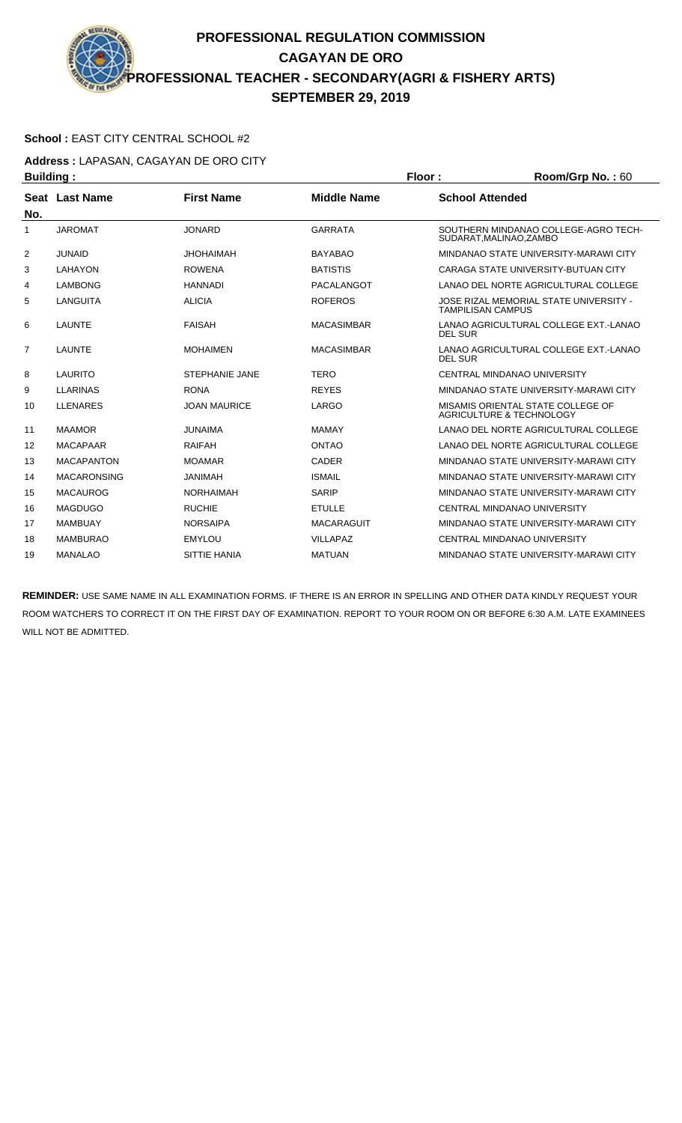#### **School :** EAST CITY CENTRAL SCHOOL #2

**Address :** LAPASAN, CAGAYAN DE ORO CITY **Building : Floor : Room/Grp No. : 60** 

| Dununiy . |                    |                       |                    | .              | 110011110111101110011                                              |
|-----------|--------------------|-----------------------|--------------------|----------------|--------------------------------------------------------------------|
| No.       | Seat Last Name     | <b>First Name</b>     | <b>Middle Name</b> |                | <b>School Attended</b>                                             |
| 1         | <b>JAROMAT</b>     | <b>JONARD</b>         | <b>GARRATA</b>     |                | SOUTHERN MINDANAO COLLEGE-AGRO TECH-<br>SUDARAT, MALINAO, ZAMBO    |
| 2         | <b>JUNAID</b>      | <b>JHOHAIMAH</b>      | <b>BAYABAO</b>     |                | MINDANAO STATE UNIVERSITY-MARAWI CITY                              |
| 3         | LAHAYON            | <b>ROWENA</b>         | <b>BATISTIS</b>    |                | CARAGA STATE UNIVERSITY-BUTUAN CITY                                |
| 4         | <b>LAMBONG</b>     | <b>HANNADI</b>        | PACALANGOT         |                | LANAO DEL NORTE AGRICULTURAL COLLEGE                               |
| 5         | <b>LANGUITA</b>    | <b>ALICIA</b>         | <b>ROFEROS</b>     |                | JOSE RIZAL MEMORIAL STATE UNIVERSITY -<br><b>TAMPILISAN CAMPUS</b> |
| 6         | <b>LAUNTE</b>      | <b>FAISAH</b>         | <b>MACASIMBAR</b>  | DEL SUR        | LANAO AGRICULTURAL COLLEGE EXT.-LANAO                              |
| 7         | <b>LAUNTE</b>      | <b>MOHAIMEN</b>       | <b>MACASIMBAR</b>  | <b>DEL SUR</b> | LANAO AGRICULTURAL COLLEGE EXT.-LANAO                              |
| 8         | <b>LAURITO</b>     | <b>STEPHANIE JANE</b> | <b>TERO</b>        |                | CENTRAL MINDANAO UNIVERSITY                                        |
| 9         | <b>LLARINAS</b>    | <b>RONA</b>           | <b>REYES</b>       |                | MINDANAO STATE UNIVERSITY-MARAWI CITY                              |
| 10        | <b>LLENARES</b>    | <b>JOAN MAURICE</b>   | LARGO              |                | MISAMIS ORIENTAL STATE COLLEGE OF<br>AGRICULTURE & TECHNOLOGY      |
| 11        | <b>MAAMOR</b>      | <b>JUNAIMA</b>        | MAMAY              |                | LANAO DEL NORTE AGRICULTURAL COLLEGE                               |
| 12        | <b>MACAPAAR</b>    | <b>RAIFAH</b>         | <b>ONTAO</b>       |                | LANAO DEL NORTE AGRICULTURAL COLLEGE                               |
| 13        | <b>MACAPANTON</b>  | <b>MOAMAR</b>         | CADER              |                | MINDANAO STATE UNIVERSITY-MARAWI CITY                              |
| 14        | <b>MACARONSING</b> | <b>JANIMAH</b>        | <b>ISMAIL</b>      |                | MINDANAO STATE UNIVERSITY-MARAWI CITY                              |
| 15        | <b>MACAUROG</b>    | <b>NORHAIMAH</b>      | <b>SARIP</b>       |                | MINDANAO STATE UNIVERSITY-MARAWI CITY                              |
| 16        | <b>MAGDUGO</b>     | <b>RUCHIE</b>         | <b>ETULLE</b>      |                | CENTRAL MINDANAO UNIVERSITY                                        |
| 17        | <b>MAMBUAY</b>     | <b>NORSAIPA</b>       | <b>MACARAGUIT</b>  |                | MINDANAO STATE UNIVERSITY-MARAWI CITY                              |
| 18        | <b>MAMBURAO</b>    | <b>EMYLOU</b>         | <b>VILLAPAZ</b>    |                | CENTRAL MINDANAO UNIVERSITY                                        |
| 19        | <b>MANALAO</b>     | <b>SITTIE HANIA</b>   | <b>MATUAN</b>      |                | MINDANAO STATE UNIVERSITY-MARAWI CITY                              |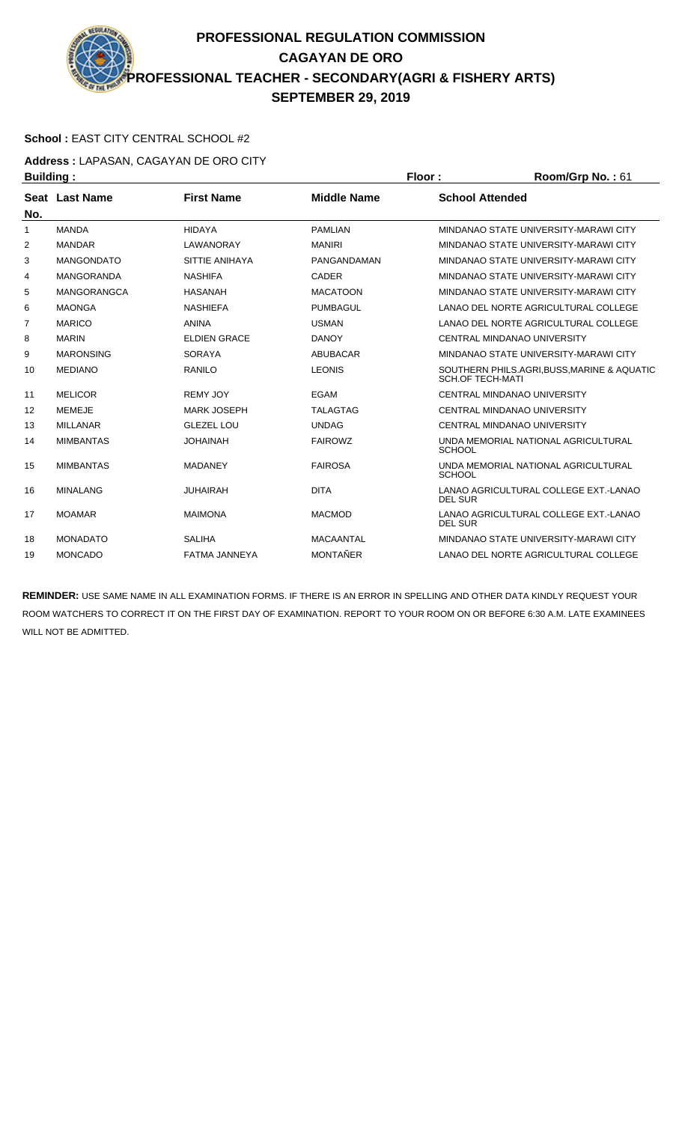#### **School :** EAST CITY CENTRAL SCHOOL #2

**Address :** LAPASAN, CAGAYAN DE ORO CITY

| <b>Building:</b> |                    |                      | Floor:             | Room/Grp No.: 61        |                                             |
|------------------|--------------------|----------------------|--------------------|-------------------------|---------------------------------------------|
|                  | Seat Last Name     | <b>First Name</b>    | <b>Middle Name</b> | <b>School Attended</b>  |                                             |
| No.              |                    |                      |                    |                         |                                             |
| 1                | <b>MANDA</b>       | <b>HIDAYA</b>        | <b>PAMLIAN</b>     |                         | MINDANAO STATE UNIVERSITY-MARAWI CITY       |
| 2                | <b>MANDAR</b>      | LAWANORAY            | <b>MANIRI</b>      |                         | MINDANAO STATE UNIVERSITY-MARAWI CITY       |
| 3                | <b>MANGONDATO</b>  | SITTIE ANIHAYA       | PANGANDAMAN        |                         | MINDANAO STATE UNIVERSITY-MARAWI CITY       |
| 4                | <b>MANGORANDA</b>  | <b>NASHIFA</b>       | <b>CADER</b>       |                         | MINDANAO STATE UNIVERSITY-MARAWI CITY       |
| 5                | <b>MANGORANGCA</b> | <b>HASANAH</b>       | <b>MACATOON</b>    |                         | MINDANAO STATE UNIVERSITY-MARAWI CITY       |
| 6                | <b>MAONGA</b>      | <b>NASHIEFA</b>      | <b>PUMBAGUL</b>    |                         | LANAO DEL NORTE AGRICULTURAL COLLEGE        |
| $\overline{7}$   | <b>MARICO</b>      | <b>ANINA</b>         | <b>USMAN</b>       |                         | LANAO DEL NORTE AGRICULTURAL COLLEGE        |
| 8                | <b>MARIN</b>       | <b>ELDIEN GRACE</b>  | <b>DANOY</b>       |                         | CENTRAL MINDANAO UNIVERSITY                 |
| 9                | <b>MARONSING</b>   | <b>SORAYA</b>        | <b>ABUBACAR</b>    |                         | MINDANAO STATE UNIVERSITY-MARAWI CITY       |
| 10               | <b>MEDIANO</b>     | <b>RANILO</b>        | <b>LEONIS</b>      | <b>SCH.OF TECH-MATI</b> | SOUTHERN PHILS.AGRI, BUSS, MARINE & AQUATIC |
| 11               | <b>MELICOR</b>     | <b>REMY JOY</b>      | <b>EGAM</b>        |                         | CENTRAL MINDANAO UNIVERSITY                 |
| 12               | <b>MEMEJE</b>      | <b>MARK JOSEPH</b>   | <b>TALAGTAG</b>    |                         | CENTRAL MINDANAO UNIVERSITY                 |
| 13               | <b>MILLANAR</b>    | <b>GLEZEL LOU</b>    | <b>UNDAG</b>       |                         | CENTRAL MINDANAO UNIVERSITY                 |
| 14               | <b>MIMBANTAS</b>   | <b>JOHAINAH</b>      | <b>FAIROWZ</b>     | <b>SCHOOL</b>           | UNDA MEMORIAL NATIONAL AGRICULTURAL         |
| 15               | <b>MIMBANTAS</b>   | <b>MADANEY</b>       | <b>FAIROSA</b>     | <b>SCHOOL</b>           | UNDA MEMORIAL NATIONAL AGRICULTURAL         |
| 16               | <b>MINALANG</b>    | <b>JUHAIRAH</b>      | <b>DITA</b>        | <b>DEL SUR</b>          | LANAO AGRICULTURAL COLLEGE EXT.-LANAO       |
| 17               | <b>MOAMAR</b>      | <b>MAIMONA</b>       | <b>MACMOD</b>      | DEL SUR                 | LANAO AGRICULTURAL COLLEGE EXT. LANAO       |
| 18               | <b>MONADATO</b>    | <b>SALIHA</b>        | MACAANTAL          |                         | MINDANAO STATE UNIVERSITY-MARAWI CITY       |
| 19               | <b>MONCADO</b>     | <b>FATMA JANNEYA</b> | <b>MONTAÑER</b>    |                         | LANAO DEL NORTE AGRICULTURAL COLLEGE        |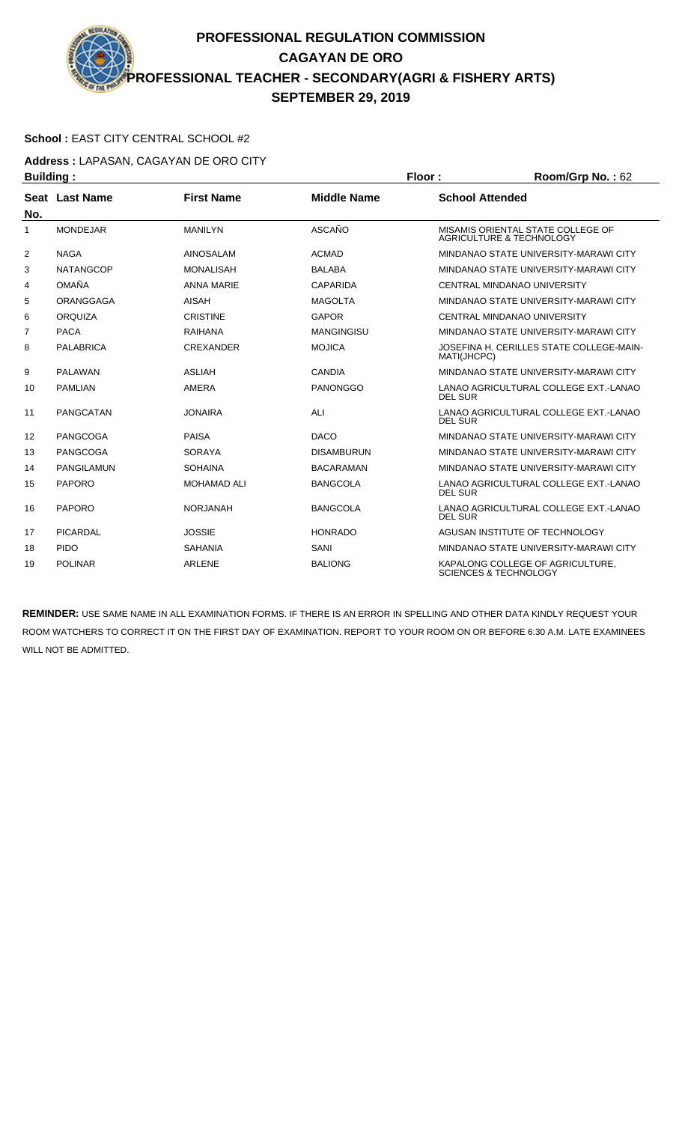#### **School :** EAST CITY CENTRAL SCHOOL #2

**Address :** LAPASAN, CAGAYAN DE ORO CITY

| <b>Building:</b> |                   |                    |                    | Floor:                 | Room/Grp No.: 62                                                     |
|------------------|-------------------|--------------------|--------------------|------------------------|----------------------------------------------------------------------|
|                  | Seat Last Name    | <b>First Name</b>  | <b>Middle Name</b> | <b>School Attended</b> |                                                                      |
| No.              |                   |                    |                    |                        |                                                                      |
| 1                | <b>MONDEJAR</b>   | <b>MANILYN</b>     | ASCAÑO             |                        | MISAMIS ORIENTAL STATE COLLEGE OF<br>AGRICULTURE & TECHNOLOGY        |
| $\overline{2}$   | <b>NAGA</b>       | <b>AINOSALAM</b>   | <b>ACMAD</b>       |                        | MINDANAO STATE UNIVERSITY-MARAWI CITY                                |
| 3                | <b>NATANGCOP</b>  | <b>MONALISAH</b>   | <b>BALABA</b>      |                        | MINDANAO STATE UNIVERSITY-MARAWI CITY                                |
| 4                | <b>OMAÑA</b>      | <b>ANNA MARIE</b>  | CAPARIDA           |                        | CENTRAL MINDANAO UNIVERSITY                                          |
| 5                | ORANGGAGA         | <b>AISAH</b>       | <b>MAGOLTA</b>     |                        | MINDANAO STATE UNIVERSITY-MARAWI CITY                                |
| 6                | <b>ORQUIZA</b>    | <b>CRISTINE</b>    | <b>GAPOR</b>       |                        | <b>CENTRAL MINDANAO UNIVERSITY</b>                                   |
| $\overline{7}$   | <b>PACA</b>       | <b>RAIHANA</b>     | <b>MANGINGISU</b>  |                        | MINDANAO STATE UNIVERSITY-MARAWI CITY                                |
| 8                | <b>PALABRICA</b>  | <b>CREXANDER</b>   | <b>MOJICA</b>      | MATI(JHCPC)            | JOSEFINA H. CERILLES STATE COLLEGE-MAIN-                             |
| 9                | <b>PALAWAN</b>    | <b>ASLIAH</b>      | CANDIA             |                        | MINDANAO STATE UNIVERSITY-MARAWI CITY                                |
| 10               | <b>PAMLIAN</b>    | <b>AMERA</b>       | <b>PANONGGO</b>    | <b>DEL SUR</b>         | LANAO AGRICULTURAL COLLEGE EXT. LANAO                                |
| 11               | PANGCATAN         | <b>JONAIRA</b>     | ALI                | <b>DEL SUR</b>         | LANAO AGRICULTURAL COLLEGE EXT.-LANAO                                |
| 12               | <b>PANGCOGA</b>   | <b>PAISA</b>       | <b>DACO</b>        |                        | MINDANAO STATE UNIVERSITY-MARAWI CITY                                |
| 13               | PANGCOGA          | <b>SORAYA</b>      | <b>DISAMBURUN</b>  |                        | MINDANAO STATE UNIVERSITY-MARAWI CITY                                |
| 14               | <b>PANGILAMUN</b> | <b>SOHAINA</b>     | <b>BACARAMAN</b>   |                        | MINDANAO STATE UNIVERSITY-MARAWI CITY                                |
| 15               | <b>PAPORO</b>     | <b>MOHAMAD ALI</b> | <b>BANGCOLA</b>    | <b>DEL SUR</b>         | LANAO AGRICULTURAL COLLEGE EXT.-LANAO                                |
| 16               | <b>PAPORO</b>     | <b>NORJANAH</b>    | <b>BANGCOLA</b>    | <b>DEL SUR</b>         | LANAO AGRICULTURAL COLLEGE EXT. LANAO                                |
| 17               | <b>PICARDAL</b>   | <b>JOSSIE</b>      | <b>HONRADO</b>     |                        | AGUSAN INSTITUTE OF TECHNOLOGY                                       |
| 18               | <b>PIDO</b>       | <b>SAHANIA</b>     | SANI               |                        | MINDANAO STATE UNIVERSITY-MARAWI CITY                                |
| 19               | <b>POLINAR</b>    | <b>ARLENE</b>      | <b>BALIONG</b>     |                        | KAPALONG COLLEGE OF AGRICULTURE.<br><b>SCIENCES &amp; TECHNOLOGY</b> |